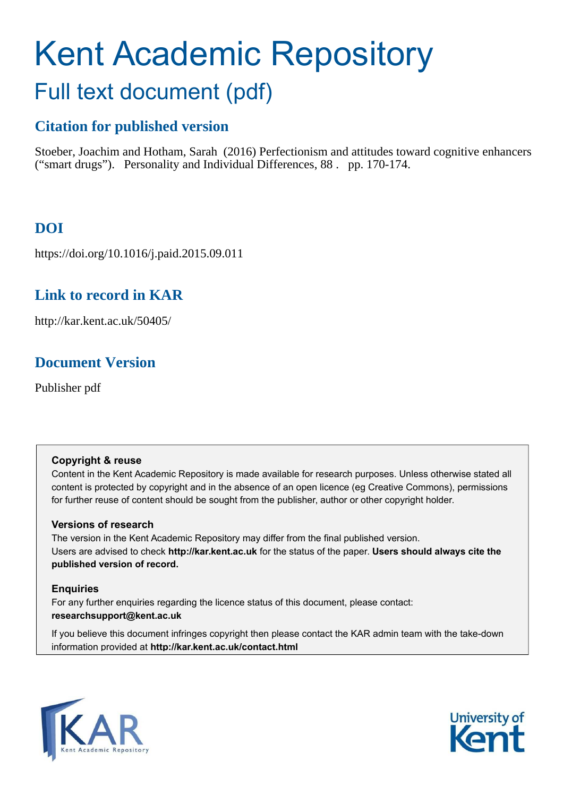# Kent Academic Repository Full text document (pdf)

# **Citation for published version**

Stoeber, Joachim and Hotham, Sarah (2016) Perfectionism and attitudes toward cognitive enhancers ("smart drugs"). Personality and Individual Differences, 88 . pp. 170-174.

# **DOI**

https://doi.org/10.1016/j.paid.2015.09.011

# **Link to record in KAR**

http://kar.kent.ac.uk/50405/

# **Document Version**

Publisher pdf

# **Copyright & reuse**

Content in the Kent Academic Repository is made available for research purposes. Unless otherwise stated all content is protected by copyright and in the absence of an open licence (eg Creative Commons), permissions for further reuse of content should be sought from the publisher, author or other copyright holder.

# **Versions of research**

The version in the Kent Academic Repository may differ from the final published version. Users are advised to check **http://kar.kent.ac.uk** for the status of the paper. **Users should always cite the published version of record.**

# **Enquiries**

For any further enquiries regarding the licence status of this document, please contact: **researchsupport@kent.ac.uk**

If you believe this document infringes copyright then please contact the KAR admin team with the take-down information provided at **http://kar.kent.ac.uk/contact.html**



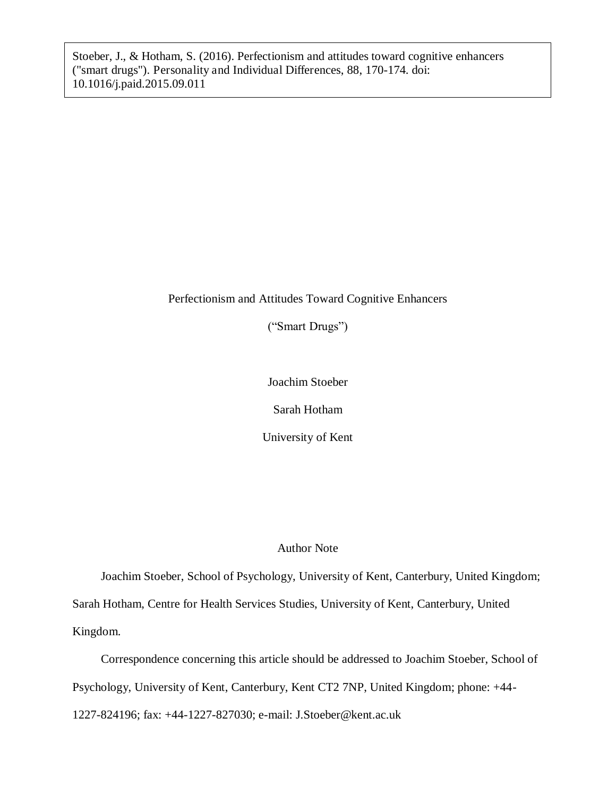Stoeber, J., & Hotham, S. (2016). Perfectionism and attitudes toward cognitive enhancers ("smart drugs"). Personality and Individual Differences, 88, 170-174. doi: 10.1016/j.paid.2015.09.011

# Perfectionism and Attitudes Toward Cognitive Enhancers

("Smart Drugs")

Joachim Stoeber

Sarah Hotham

University of Kent

### Author Note

Joachim Stoeber, School of Psychology, University of Kent, Canterbury, United Kingdom; Sarah Hotham, Centre for Health Services Studies, University of Kent, Canterbury, United Kingdom.

Correspondence concerning this article should be addressed to Joachim Stoeber, School of Psychology, University of Kent, Canterbury, Kent CT2 7NP, United Kingdom; phone: +44- 1227-824196; fax: +44-1227-827030; e-mail: J.Stoeber@kent.ac.uk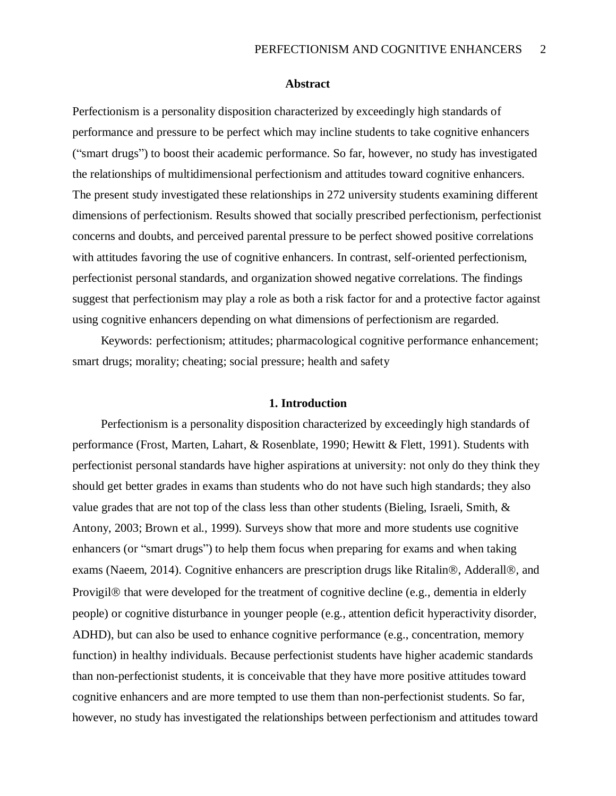#### **Abstract**

Perfectionism is a personality disposition characterized by exceedingly high standards of performance and pressure to be perfect which may incline students to take cognitive enhancers ("smart drugs") to boost their academic performance. So far, however, no study has investigated the relationships of multidimensional perfectionism and attitudes toward cognitive enhancers. The present study investigated these relationships in 272 university students examining different dimensions of perfectionism. Results showed that socially prescribed perfectionism, perfectionist concerns and doubts, and perceived parental pressure to be perfect showed positive correlations with attitudes favoring the use of cognitive enhancers. In contrast, self-oriented perfectionism, perfectionist personal standards, and organization showed negative correlations. The findings suggest that perfectionism may play a role as both a risk factor for and a protective factor against using cognitive enhancers depending on what dimensions of perfectionism are regarded.

Keywords: perfectionism; attitudes; pharmacological cognitive performance enhancement; smart drugs; morality; cheating; social pressure; health and safety

#### **1. Introduction**

Perfectionism is a personality disposition characterized by exceedingly high standards of performance (Frost, Marten, Lahart, & Rosenblate, 1990; Hewitt & Flett, 1991). Students with perfectionist personal standards have higher aspirations at university: not only do they think they should get better grades in exams than students who do not have such high standards; they also value grades that are not top of the class less than other students (Bieling, Israeli, Smith, & Antony, 2003; Brown et al., 1999). Surveys show that more and more students use cognitive enhancers (or "smart drugs") to help them focus when preparing for exams and when taking exams (Naeem, 2014). Cognitive enhancers are prescription drugs like Ritalin®, Adderall®, and Provigil® that were developed for the treatment of cognitive decline (e.g., dementia in elderly people) or cognitive disturbance in younger people (e.g., attention deficit hyperactivity disorder, ADHD), but can also be used to enhance cognitive performance (e.g., concentration, memory function) in healthy individuals. Because perfectionist students have higher academic standards than non-perfectionist students, it is conceivable that they have more positive attitudes toward cognitive enhancers and are more tempted to use them than non-perfectionist students. So far, however, no study has investigated the relationships between perfectionism and attitudes toward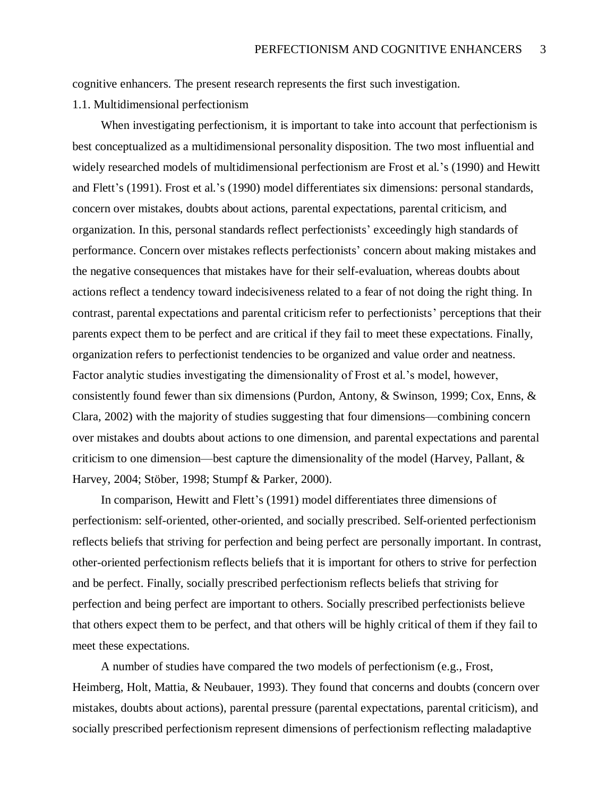cognitive enhancers. The present research represents the first such investigation.

1.1. Multidimensional perfectionism

When investigating perfectionism, it is important to take into account that perfectionism is best conceptualized as a multidimensional personality disposition. The two most influential and widely researched models of multidimensional perfectionism are Frost et al.'s (1990) and Hewitt and Flett's (1991). Frost et al.'s (1990) model differentiates six dimensions: personal standards, concern over mistakes, doubts about actions, parental expectations, parental criticism, and organization. In this, personal standards reflect perfectionists' exceedingly high standards of performance. Concern over mistakes reflects perfectionists' concern about making mistakes and the negative consequences that mistakes have for their self-evaluation, whereas doubts about actions reflect a tendency toward indecisiveness related to a fear of not doing the right thing. In contrast, parental expectations and parental criticism refer to perfectionists' perceptions that their parents expect them to be perfect and are critical if they fail to meet these expectations. Finally, organization refers to perfectionist tendencies to be organized and value order and neatness. Factor analytic studies investigating the dimensionality of Frost et al.'s model, however, consistently found fewer than six dimensions (Purdon, Antony, & Swinson, 1999; Cox, Enns, & Clara, 2002) with the majority of studies suggesting that four dimensions—combining concern over mistakes and doubts about actions to one dimension, and parental expectations and parental criticism to one dimension—best capture the dimensionality of the model (Harvey, Pallant, & Harvey, 2004; Stöber, 1998; Stumpf & Parker, 2000).

In comparison, Hewitt and Flett's (1991) model differentiates three dimensions of perfectionism: self-oriented, other-oriented, and socially prescribed. Self-oriented perfectionism reflects beliefs that striving for perfection and being perfect are personally important. In contrast, other-oriented perfectionism reflects beliefs that it is important for others to strive for perfection and be perfect. Finally, socially prescribed perfectionism reflects beliefs that striving for perfection and being perfect are important to others. Socially prescribed perfectionists believe that others expect them to be perfect, and that others will be highly critical of them if they fail to meet these expectations.

A number of studies have compared the two models of perfectionism (e.g., Frost, Heimberg, Holt, Mattia, & Neubauer, 1993). They found that concerns and doubts (concern over mistakes, doubts about actions), parental pressure (parental expectations, parental criticism), and socially prescribed perfectionism represent dimensions of perfectionism reflecting maladaptive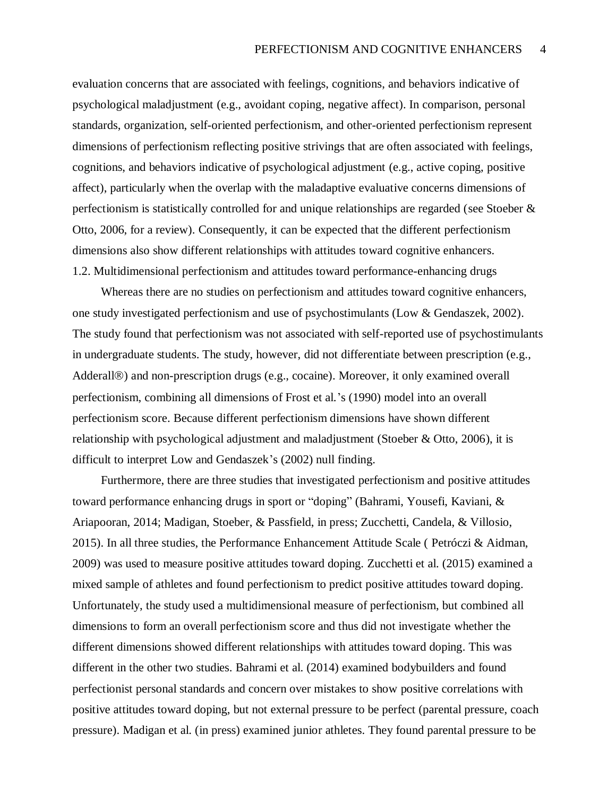evaluation concerns that are associated with feelings, cognitions, and behaviors indicative of psychological maladjustment (e.g., avoidant coping, negative affect). In comparison, personal standards, organization, self-oriented perfectionism, and other-oriented perfectionism represent dimensions of perfectionism reflecting positive strivings that are often associated with feelings, cognitions, and behaviors indicative of psychological adjustment (e.g., active coping, positive affect), particularly when the overlap with the maladaptive evaluative concerns dimensions of perfectionism is statistically controlled for and unique relationships are regarded (see Stoeber & Otto, 2006, for a review). Consequently, it can be expected that the different perfectionism dimensions also show different relationships with attitudes toward cognitive enhancers. 1.2. Multidimensional perfectionism and attitudes toward performance-enhancing drugs

Whereas there are no studies on perfectionism and attitudes toward cognitive enhancers, one study investigated perfectionism and use of psychostimulants (Low & Gendaszek, 2002). The study found that perfectionism was not associated with self-reported use of psychostimulants in undergraduate students. The study, however, did not differentiate between prescription (e.g., Adderall®) and non-prescription drugs (e.g., cocaine). Moreover, it only examined overall perfectionism, combining all dimensions of Frost et al.'s (1990) model into an overall perfectionism score. Because different perfectionism dimensions have shown different relationship with psychological adjustment and maladjustment (Stoeber & Otto, 2006), it is difficult to interpret Low and Gendaszek's (2002) null finding.

Furthermore, there are three studies that investigated perfectionism and positive attitudes toward performance enhancing drugs in sport or "doping" (Bahrami, Yousefi, Kaviani, & Ariapooran, 2014; Madigan, Stoeber, & Passfield, in press; Zucchetti, Candela, & Villosio, 2015). In all three studies, the Performance Enhancement Attitude Scale ( Petróczi & Aidman, 2009) was used to measure positive attitudes toward doping. Zucchetti et al. (2015) examined a mixed sample of athletes and found perfectionism to predict positive attitudes toward doping. Unfortunately, the study used a multidimensional measure of perfectionism, but combined all dimensions to form an overall perfectionism score and thus did not investigate whether the different dimensions showed different relationships with attitudes toward doping. This was different in the other two studies. Bahrami et al. (2014) examined bodybuilders and found perfectionist personal standards and concern over mistakes to show positive correlations with positive attitudes toward doping, but not external pressure to be perfect (parental pressure, coach pressure). Madigan et al. (in press) examined junior athletes. They found parental pressure to be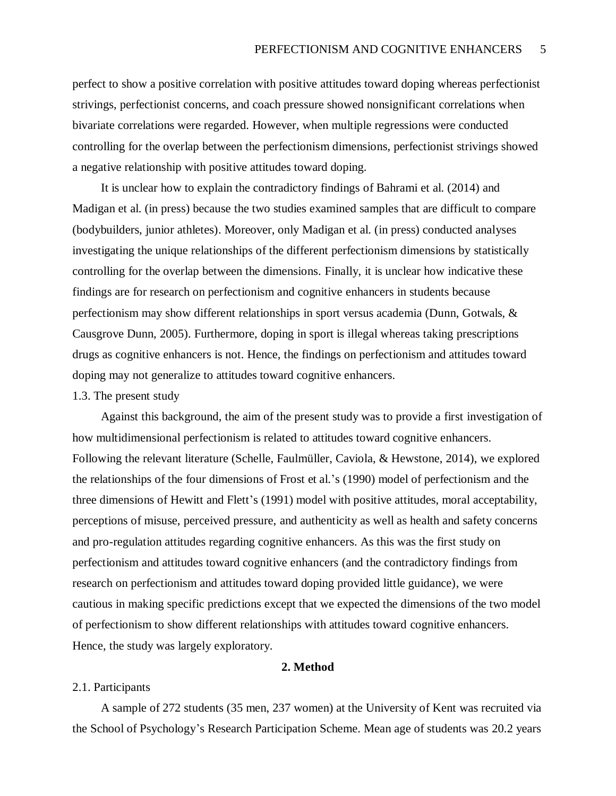perfect to show a positive correlation with positive attitudes toward doping whereas perfectionist strivings, perfectionist concerns, and coach pressure showed nonsignificant correlations when bivariate correlations were regarded. However, when multiple regressions were conducted controlling for the overlap between the perfectionism dimensions, perfectionist strivings showed a negative relationship with positive attitudes toward doping.

It is unclear how to explain the contradictory findings of Bahrami et al. (2014) and Madigan et al. (in press) because the two studies examined samples that are difficult to compare (bodybuilders, junior athletes). Moreover, only Madigan et al. (in press) conducted analyses investigating the unique relationships of the different perfectionism dimensions by statistically controlling for the overlap between the dimensions. Finally, it is unclear how indicative these findings are for research on perfectionism and cognitive enhancers in students because perfectionism may show different relationships in sport versus academia (Dunn, Gotwals, & Causgrove Dunn, 2005). Furthermore, doping in sport is illegal whereas taking prescriptions drugs as cognitive enhancers is not. Hence, the findings on perfectionism and attitudes toward doping may not generalize to attitudes toward cognitive enhancers.

#### 1.3. The present study

Against this background, the aim of the present study was to provide a first investigation of how multidimensional perfectionism is related to attitudes toward cognitive enhancers. Following the relevant literature (Schelle, Faulmüller, Caviola, & Hewstone, 2014), we explored the relationships of the four dimensions of Frost et al.'s (1990) model of perfectionism and the three dimensions of Hewitt and Flett's (1991) model with positive attitudes, moral acceptability, perceptions of misuse, perceived pressure, and authenticity as well as health and safety concerns and pro-regulation attitudes regarding cognitive enhancers. As this was the first study on perfectionism and attitudes toward cognitive enhancers (and the contradictory findings from research on perfectionism and attitudes toward doping provided little guidance), we were cautious in making specific predictions except that we expected the dimensions of the two model of perfectionism to show different relationships with attitudes toward cognitive enhancers. Hence, the study was largely exploratory.

#### **2. Method**

#### 2.1. Participants

A sample of 272 students (35 men, 237 women) at the University of Kent was recruited via the School of Psychology's Research Participation Scheme. Mean age of students was 20.2 years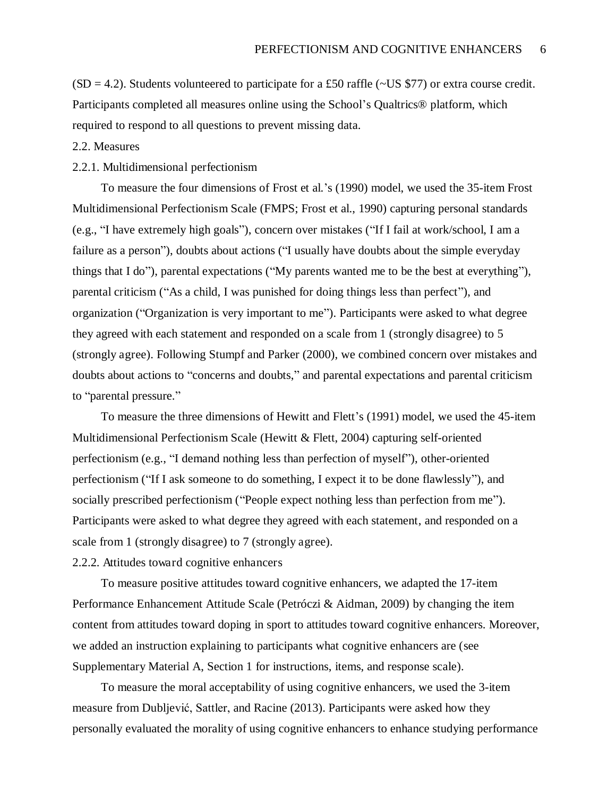$(SD = 4.2)$ . Students volunteered to participate for a £50 raffle (~US \$77) or extra course credit. Participants completed all measures online using the School's Qualtrics® platform, which required to respond to all questions to prevent missing data.

#### 2.2. Measures

#### 2.2.1. Multidimensional perfectionism

To measure the four dimensions of Frost et al.'s (1990) model, we used the 35-item Frost Multidimensional Perfectionism Scale (FMPS; Frost et al., 1990) capturing personal standards (e.g., "I have extremely high goals"), concern over mistakes ("If I fail at work/school, I am a failure as a person"), doubts about actions ("I usually have doubts about the simple everyday things that I do"), parental expectations ("My parents wanted me to be the best at everything"), parental criticism ("As a child, I was punished for doing things less than perfect"), and organization ("Organization is very important to me"). Participants were asked to what degree they agreed with each statement and responded on a scale from 1 (strongly disagree) to 5 (strongly agree). Following Stumpf and Parker (2000), we combined concern over mistakes and doubts about actions to "concerns and doubts," and parental expectations and parental criticism to "parental pressure."

To measure the three dimensions of Hewitt and Flett's (1991) model, we used the 45-item Multidimensional Perfectionism Scale (Hewitt & Flett, 2004) capturing self-oriented perfectionism (e.g., "I demand nothing less than perfection of myself"), other-oriented perfectionism ("If I ask someone to do something, I expect it to be done flawlessly"), and socially prescribed perfectionism ("People expect nothing less than perfection from me"). Participants were asked to what degree they agreed with each statement, and responded on a scale from 1 (strongly disagree) to 7 (strongly agree).

## 2.2.2. Attitudes toward cognitive enhancers

To measure positive attitudes toward cognitive enhancers, we adapted the 17-item Performance Enhancement Attitude Scale (Petróczi & Aidman, 2009) by changing the item content from attitudes toward doping in sport to attitudes toward cognitive enhancers. Moreover, we added an instruction explaining to participants what cognitive enhancers are (see Supplementary Material A, Section 1 for instructions, items, and response scale).

To measure the moral acceptability of using cognitive enhancers, we used the 3-item measure from Dubljević, Sattler, and Racine (2013). Participants were asked how they personally evaluated the morality of using cognitive enhancers to enhance studying performance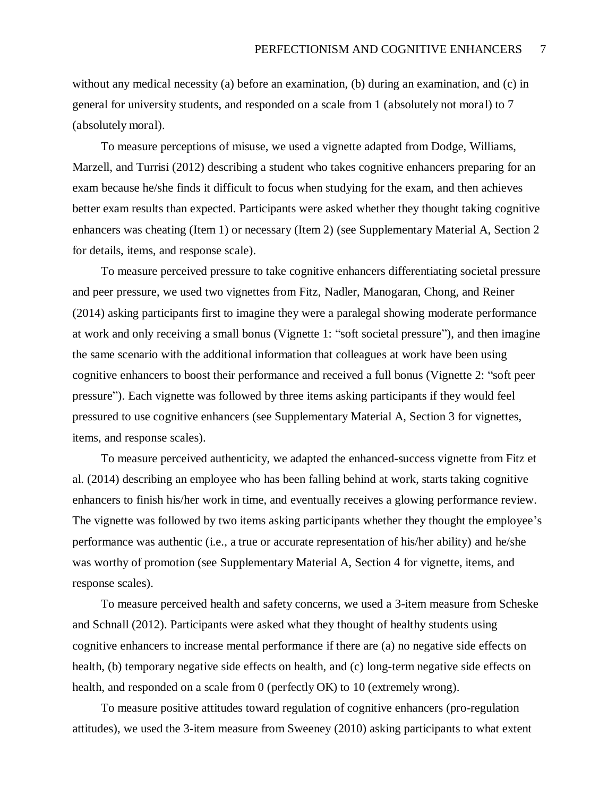without any medical necessity (a) before an examination, (b) during an examination, and (c) in general for university students, and responded on a scale from 1 (absolutely not moral) to 7 (absolutely moral).

To measure perceptions of misuse, we used a vignette adapted from Dodge, Williams, Marzell, and Turrisi (2012) describing a student who takes cognitive enhancers preparing for an exam because he/she finds it difficult to focus when studying for the exam, and then achieves better exam results than expected. Participants were asked whether they thought taking cognitive enhancers was cheating (Item 1) or necessary (Item 2) (see Supplementary Material A, Section 2 for details, items, and response scale).

To measure perceived pressure to take cognitive enhancers differentiating societal pressure and peer pressure, we used two vignettes from Fitz, Nadler, Manogaran, Chong, and Reiner (2014) asking participants first to imagine they were a paralegal showing moderate performance at work and only receiving a small bonus (Vignette 1: "soft societal pressure"), and then imagine the same scenario with the additional information that colleagues at work have been using cognitive enhancers to boost their performance and received a full bonus (Vignette 2: "soft peer pressure"). Each vignette was followed by three items asking participants if they would feel pressured to use cognitive enhancers (see Supplementary Material A, Section 3 for vignettes, items, and response scales).

To measure perceived authenticity, we adapted the enhanced-success vignette from Fitz et al. (2014) describing an employee who has been falling behind at work, starts taking cognitive enhancers to finish his/her work in time, and eventually receives a glowing performance review. The vignette was followed by two items asking participants whether they thought the employee's performance was authentic (i.e., a true or accurate representation of his/her ability) and he/she was worthy of promotion (see Supplementary Material A, Section 4 for vignette, items, and response scales).

To measure perceived health and safety concerns, we used a 3-item measure from Scheske and Schnall (2012). Participants were asked what they thought of healthy students using cognitive enhancers to increase mental performance if there are (a) no negative side effects on health, (b) temporary negative side effects on health, and (c) long-term negative side effects on health, and responded on a scale from 0 (perfectly OK) to 10 (extremely wrong).

To measure positive attitudes toward regulation of cognitive enhancers (pro-regulation attitudes), we used the 3-item measure from Sweeney (2010) asking participants to what extent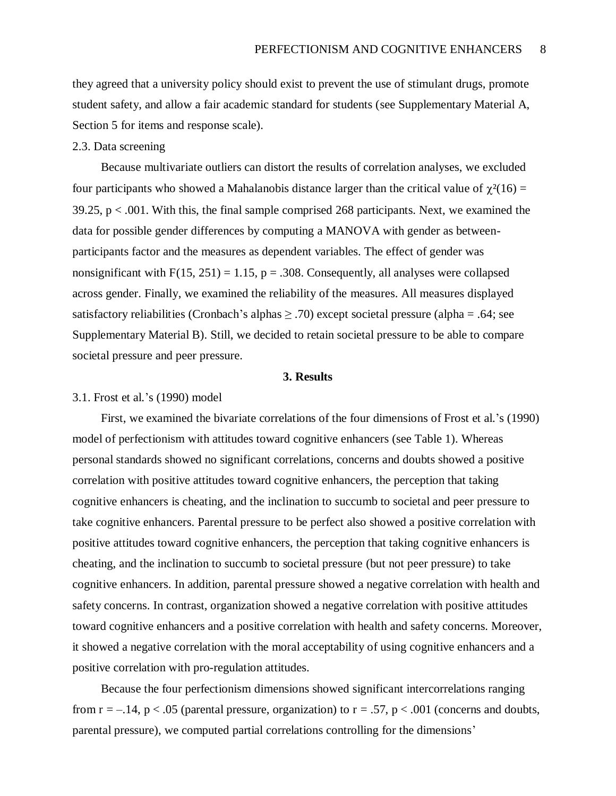they agreed that a university policy should exist to prevent the use of stimulant drugs, promote student safety, and allow a fair academic standard for students (see Supplementary Material A, Section 5 for items and response scale).

#### 2.3. Data screening

Because multivariate outliers can distort the results of correlation analyses, we excluded four participants who showed a Mahalanobis distance larger than the critical value of  $\chi^2(16)$  =  $39.25$ ,  $p < .001$ . With this, the final sample comprised 268 participants. Next, we examined the data for possible gender differences by computing a MANOVA with gender as betweenparticipants factor and the measures as dependent variables. The effect of gender was nonsignificant with  $F(15, 251) = 1.15$ ,  $p = .308$ . Consequently, all analyses were collapsed across gender. Finally, we examined the reliability of the measures. All measures displayed satisfactory reliabilities (Cronbach's alphas  $\geq$  .70) except societal pressure (alpha = .64; see Supplementary Material B). Still, we decided to retain societal pressure to be able to compare societal pressure and peer pressure.

#### **3. Results**

#### 3.1. Frost et al.'s (1990) model

First, we examined the bivariate correlations of the four dimensions of Frost et al.'s (1990) model of perfectionism with attitudes toward cognitive enhancers (see Table 1). Whereas personal standards showed no significant correlations, concerns and doubts showed a positive correlation with positive attitudes toward cognitive enhancers, the perception that taking cognitive enhancers is cheating, and the inclination to succumb to societal and peer pressure to take cognitive enhancers. Parental pressure to be perfect also showed a positive correlation with positive attitudes toward cognitive enhancers, the perception that taking cognitive enhancers is cheating, and the inclination to succumb to societal pressure (but not peer pressure) to take cognitive enhancers. In addition, parental pressure showed a negative correlation with health and safety concerns. In contrast, organization showed a negative correlation with positive attitudes toward cognitive enhancers and a positive correlation with health and safety concerns. Moreover, it showed a negative correlation with the moral acceptability of using cognitive enhancers and a positive correlation with pro-regulation attitudes.

Because the four perfectionism dimensions showed significant intercorrelations ranging from  $r = -0.14$ ,  $p < 0.05$  (parental pressure, organization) to  $r = 0.57$ ,  $p < 0.001$  (concerns and doubts, parental pressure), we computed partial correlations controlling for the dimensions'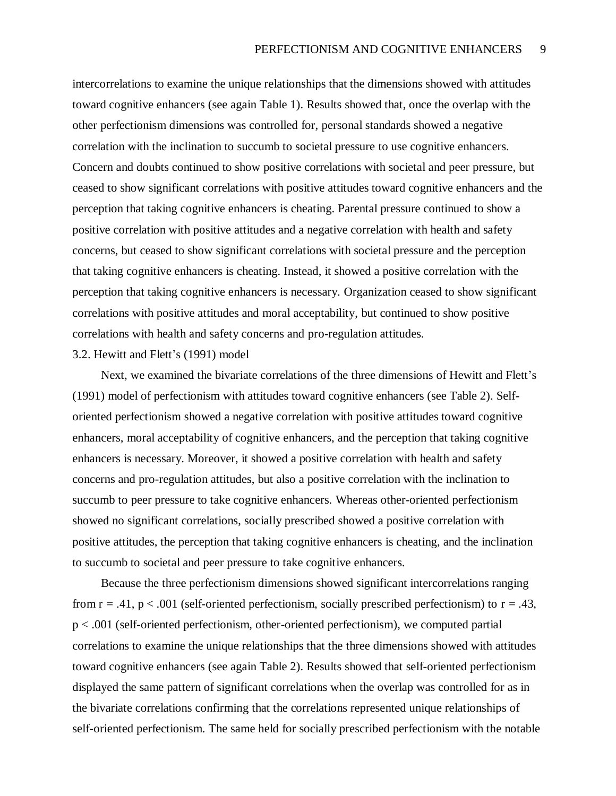intercorrelations to examine the unique relationships that the dimensions showed with attitudes toward cognitive enhancers (see again Table 1). Results showed that, once the overlap with the other perfectionism dimensions was controlled for, personal standards showed a negative correlation with the inclination to succumb to societal pressure to use cognitive enhancers. Concern and doubts continued to show positive correlations with societal and peer pressure, but ceased to show significant correlations with positive attitudes toward cognitive enhancers and the perception that taking cognitive enhancers is cheating. Parental pressure continued to show a positive correlation with positive attitudes and a negative correlation with health and safety concerns, but ceased to show significant correlations with societal pressure and the perception that taking cognitive enhancers is cheating. Instead, it showed a positive correlation with the perception that taking cognitive enhancers is necessary. Organization ceased to show significant correlations with positive attitudes and moral acceptability, but continued to show positive correlations with health and safety concerns and pro-regulation attitudes.

#### 3.2. Hewitt and Flett's (1991) model

Next, we examined the bivariate correlations of the three dimensions of Hewitt and Flett's (1991) model of perfectionism with attitudes toward cognitive enhancers (see Table 2). Selforiented perfectionism showed a negative correlation with positive attitudes toward cognitive enhancers, moral acceptability of cognitive enhancers, and the perception that taking cognitive enhancers is necessary. Moreover, it showed a positive correlation with health and safety concerns and pro-regulation attitudes, but also a positive correlation with the inclination to succumb to peer pressure to take cognitive enhancers. Whereas other-oriented perfectionism showed no significant correlations, socially prescribed showed a positive correlation with positive attitudes, the perception that taking cognitive enhancers is cheating, and the inclination to succumb to societal and peer pressure to take cognitive enhancers.

Because the three perfectionism dimensions showed significant intercorrelations ranging from  $r = .41$ ,  $p < .001$  (self-oriented perfectionism, socially prescribed perfectionism) to  $r = .43$ , p < .001 (self-oriented perfectionism, other-oriented perfectionism), we computed partial correlations to examine the unique relationships that the three dimensions showed with attitudes toward cognitive enhancers (see again Table 2). Results showed that self-oriented perfectionism displayed the same pattern of significant correlations when the overlap was controlled for as in the bivariate correlations confirming that the correlations represented unique relationships of self-oriented perfectionism. The same held for socially prescribed perfectionism with the notable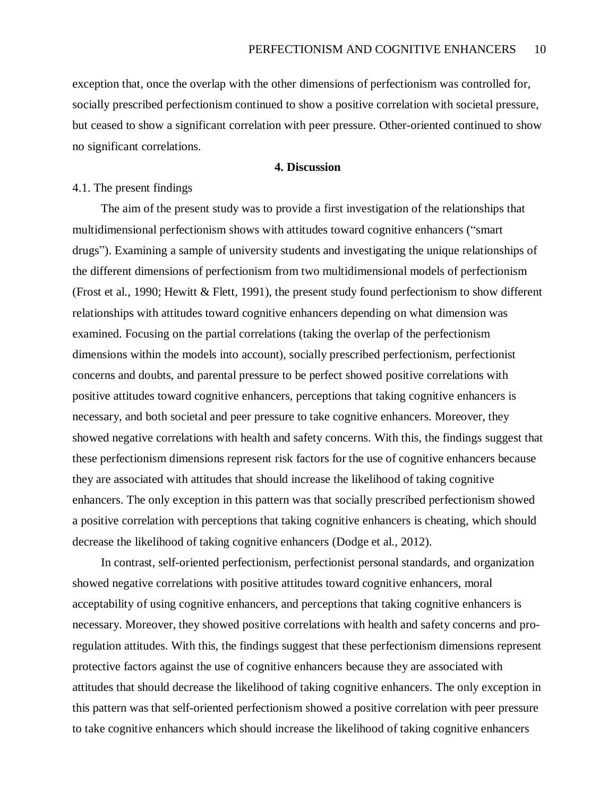exception that, once the overlap with the other dimensions of perfectionism was controlled for, socially prescribed perfectionism continued to show a positive correlation with societal pressure, but ceased to show a significant correlation with peer pressure. Other-oriented continued to show no significant correlations.

#### **4. Discussion**

#### 4.1. The present findings

The aim of the present study was to provide a first investigation of the relationships that multidimensional perfectionism shows with attitudes toward cognitive enhancers ("smart drugs"). Examining a sample of university students and investigating the unique relationships of the different dimensions of perfectionism from two multidimensional models of perfectionism (Frost et al., 1990; Hewitt & Flett, 1991), the present study found perfectionism to show different relationships with attitudes toward cognitive enhancers depending on what dimension was examined. Focusing on the partial correlations (taking the overlap of the perfectionism dimensions within the models into account), socially prescribed perfectionism, perfectionist concerns and doubts, and parental pressure to be perfect showed positive correlations with positive attitudes toward cognitive enhancers, perceptions that taking cognitive enhancers is necessary, and both societal and peer pressure to take cognitive enhancers. Moreover, they showed negative correlations with health and safety concerns. With this, the findings suggest that these perfectionism dimensions represent risk factors for the use of cognitive enhancers because they are associated with attitudes that should increase the likelihood of taking cognitive enhancers. The only exception in this pattern was that socially prescribed perfectionism showed a positive correlation with perceptions that taking cognitive enhancers is cheating, which should decrease the likelihood of taking cognitive enhancers (Dodge et al., 2012).

In contrast, self-oriented perfectionism, perfectionist personal standards, and organization showed negative correlations with positive attitudes toward cognitive enhancers, moral acceptability of using cognitive enhancers, and perceptions that taking cognitive enhancers is necessary. Moreover, they showed positive correlations with health and safety concerns and proregulation attitudes. With this, the findings suggest that these perfectionism dimensions represent protective factors against the use of cognitive enhancers because they are associated with attitudes that should decrease the likelihood of taking cognitive enhancers. The only exception in this pattern was that self-oriented perfectionism showed a positive correlation with peer pressure to take cognitive enhancers which should increase the likelihood of taking cognitive enhancers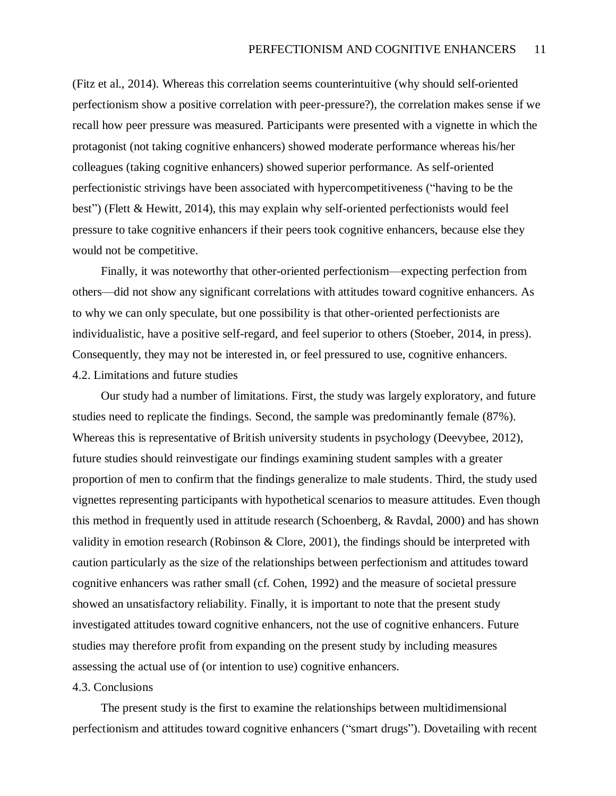(Fitz et al., 2014). Whereas this correlation seems counterintuitive (why should self-oriented perfectionism show a positive correlation with peer-pressure?), the correlation makes sense if we recall how peer pressure was measured. Participants were presented with a vignette in which the protagonist (not taking cognitive enhancers) showed moderate performance whereas his/her colleagues (taking cognitive enhancers) showed superior performance. As self-oriented perfectionistic strivings have been associated with hypercompetitiveness ("having to be the best") (Flett & Hewitt, 2014), this may explain why self-oriented perfectionists would feel pressure to take cognitive enhancers if their peers took cognitive enhancers, because else they would not be competitive.

Finally, it was noteworthy that other-oriented perfectionism—expecting perfection from others—did not show any significant correlations with attitudes toward cognitive enhancers. As to why we can only speculate, but one possibility is that other-oriented perfectionists are individualistic, have a positive self-regard, and feel superior to others (Stoeber, 2014, in press). Consequently, they may not be interested in, or feel pressured to use, cognitive enhancers. 4.2. Limitations and future studies

Our study had a number of limitations. First, the study was largely exploratory, and future studies need to replicate the findings. Second, the sample was predominantly female (87%). Whereas this is representative of British university students in psychology (Deevybee, 2012), future studies should reinvestigate our findings examining student samples with a greater proportion of men to confirm that the findings generalize to male students. Third, the study used vignettes representing participants with hypothetical scenarios to measure attitudes. Even though this method in frequently used in attitude research (Schoenberg, & Ravdal, 2000) and has shown validity in emotion research (Robinson & Clore, 2001), the findings should be interpreted with caution particularly as the size of the relationships between perfectionism and attitudes toward cognitive enhancers was rather small (cf. Cohen, 1992) and the measure of societal pressure showed an unsatisfactory reliability. Finally, it is important to note that the present study investigated attitudes toward cognitive enhancers, not the use of cognitive enhancers. Future studies may therefore profit from expanding on the present study by including measures assessing the actual use of (or intention to use) cognitive enhancers.

#### 4.3. Conclusions

The present study is the first to examine the relationships between multidimensional perfectionism and attitudes toward cognitive enhancers ("smart drugs"). Dovetailing with recent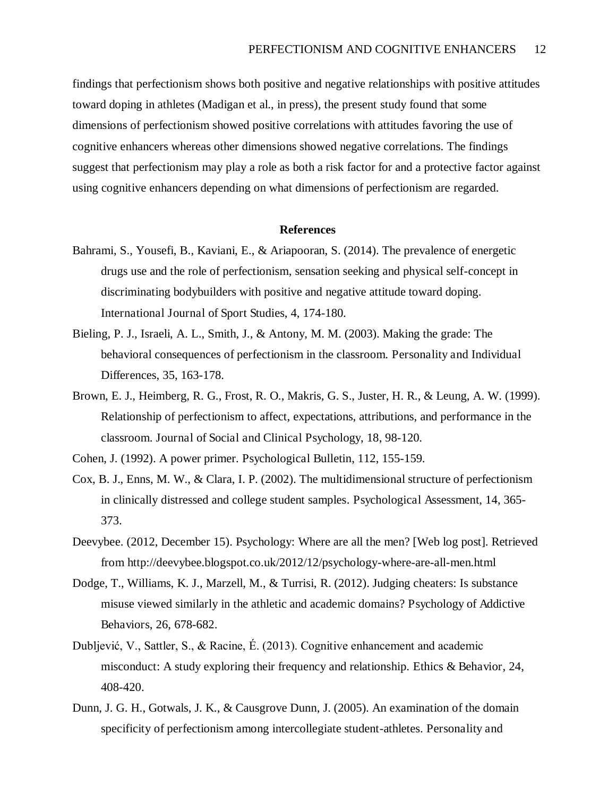findings that perfectionism shows both positive and negative relationships with positive attitudes toward doping in athletes (Madigan et al., in press), the present study found that some dimensions of perfectionism showed positive correlations with attitudes favoring the use of cognitive enhancers whereas other dimensions showed negative correlations. The findings suggest that perfectionism may play a role as both a risk factor for and a protective factor against using cognitive enhancers depending on what dimensions of perfectionism are regarded.

#### **References**

- Bahrami, S., Yousefi, B., Kaviani, E., & Ariapooran, S. (2014). The prevalence of energetic drugs use and the role of perfectionism, sensation seeking and physical self-concept in discriminating bodybuilders with positive and negative attitude toward doping. International Journal of Sport Studies, 4, 174-180.
- Bieling, P. J., Israeli, A. L., Smith, J., & Antony, M. M. (2003). Making the grade: The behavioral consequences of perfectionism in the classroom. Personality and Individual Differences, 35, 163-178.
- Brown, E. J., Heimberg, R. G., Frost, R. O., Makris, G. S., Juster, H. R., & Leung, A. W. (1999). Relationship of perfectionism to affect, expectations, attributions, and performance in the classroom. Journal of Social and Clinical Psychology, 18, 98-120.

Cohen, J. (1992). A power primer. Psychological Bulletin, 112, 155-159.

- Cox, B. J., Enns, M. W., & Clara, I. P. (2002). The multidimensional structure of perfectionism in clinically distressed and college student samples. Psychological Assessment, 14, 365- 373.
- Deevybee. (2012, December 15). Psychology: Where are all the men? [Web log post]. Retrieved from http://deevybee.blogspot.co.uk/2012/12/psychology-where-are-all-men.html
- Dodge, T., Williams, K. J., Marzell, M., & Turrisi, R. (2012). Judging cheaters: Is substance misuse viewed similarly in the athletic and academic domains? Psychology of Addictive Behaviors, 26, 678-682.
- Dubljević, V., Sattler, S., & Racine, É. (2013). Cognitive enhancement and academic misconduct: A study exploring their frequency and relationship. Ethics & Behavior, 24, 408-420.
- Dunn, J. G. H., Gotwals, J. K., & Causgrove Dunn, J. (2005). An examination of the domain specificity of perfectionism among intercollegiate student-athletes. Personality and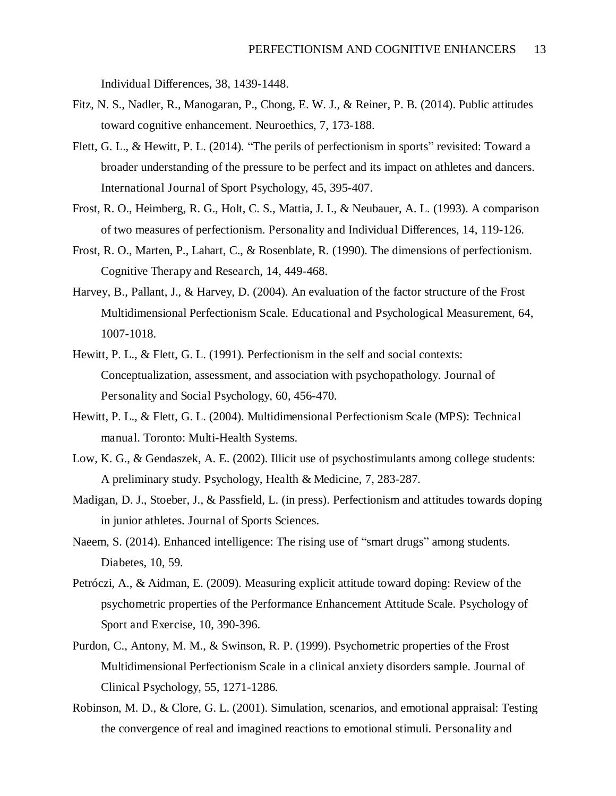Individual Differences, 38, 1439-1448.

- Fitz, N. S., Nadler, R., Manogaran, P., Chong, E. W. J., & Reiner, P. B. (2014). Public attitudes toward cognitive enhancement. Neuroethics, 7, 173-188.
- Flett, G. L., & Hewitt, P. L. (2014). "The perils of perfectionism in sports" revisited: Toward a broader understanding of the pressure to be perfect and its impact on athletes and dancers. International Journal of Sport Psychology, 45, 395-407.
- Frost, R. O., Heimberg, R. G., Holt, C. S., Mattia, J. I., & Neubauer, A. L. (1993). A comparison of two measures of perfectionism. Personality and Individual Differences, 14, 119-126.
- Frost, R. O., Marten, P., Lahart, C., & Rosenblate, R. (1990). The dimensions of perfectionism. Cognitive Therapy and Research, 14, 449-468.
- Harvey, B., Pallant, J., & Harvey, D. (2004). An evaluation of the factor structure of the Frost Multidimensional Perfectionism Scale. Educational and Psychological Measurement, 64, 1007-1018.
- Hewitt, P. L., & Flett, G. L. (1991). Perfectionism in the self and social contexts: Conceptualization, assessment, and association with psychopathology. Journal of Personality and Social Psychology, 60, 456-470.
- Hewitt, P. L., & Flett, G. L. (2004). Multidimensional Perfectionism Scale (MPS): Technical manual. Toronto: Multi-Health Systems.
- Low, K. G., & Gendaszek, A. E. (2002). Illicit use of psychostimulants among college students: A preliminary study. Psychology, Health & Medicine, 7, 283-287.
- Madigan, D. J., Stoeber, J., & Passfield, L. (in press). Perfectionism and attitudes towards doping in junior athletes. Journal of Sports Sciences.
- Naeem, S. (2014). Enhanced intelligence: The rising use of "smart drugs" among students. Diabetes, 10, 59.
- Petróczi, A., & Aidman, E. (2009). Measuring explicit attitude toward doping: Review of the psychometric properties of the Performance Enhancement Attitude Scale. Psychology of Sport and Exercise, 10, 390-396.
- Purdon, C., Antony, M. M., & Swinson, R. P. (1999). Psychometric properties of the Frost Multidimensional Perfectionism Scale in a clinical anxiety disorders sample. Journal of Clinical Psychology, 55, 1271-1286.
- Robinson, M. D., & Clore, G. L. (2001). Simulation, scenarios, and emotional appraisal: Testing the convergence of real and imagined reactions to emotional stimuli. Personality and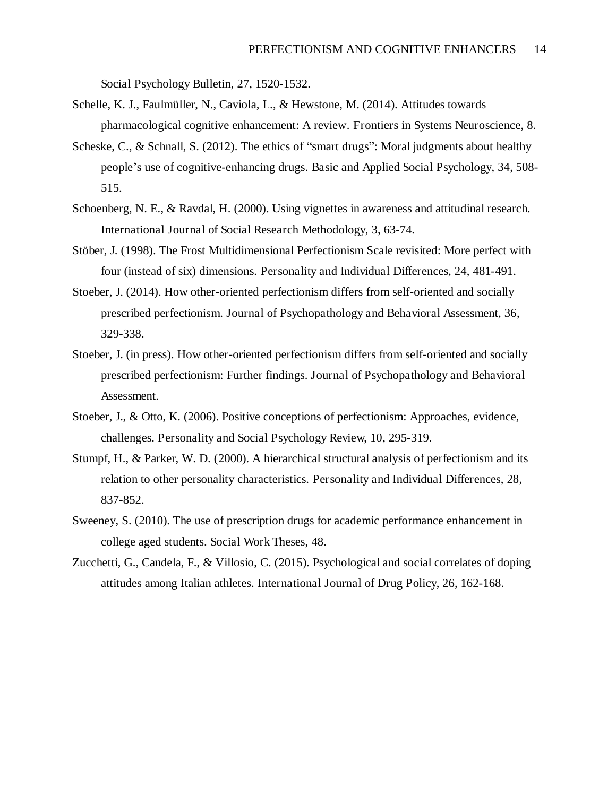Social Psychology Bulletin, 27, 1520-1532.

- Schelle, K. J., Faulmüller, N., Caviola, L., & Hewstone, M. (2014). Attitudes towards pharmacological cognitive enhancement: A review. Frontiers in Systems Neuroscience, 8.
- Scheske, C., & Schnall, S. (2012). The ethics of "smart drugs": Moral judgments about healthy people's use of cognitive-enhancing drugs. Basic and Applied Social Psychology, 34, 508- 515.
- Schoenberg, N. E., & Ravdal, H. (2000). Using vignettes in awareness and attitudinal research. International Journal of Social Research Methodology, 3, 63-74.
- Stöber, J. (1998). The Frost Multidimensional Perfectionism Scale revisited: More perfect with four (instead of six) dimensions. Personality and Individual Differences, 24, 481-491.
- Stoeber, J. (2014). How other-oriented perfectionism differs from self-oriented and socially prescribed perfectionism. Journal of Psychopathology and Behavioral Assessment, 36, 329-338.
- Stoeber, J. (in press). How other-oriented perfectionism differs from self-oriented and socially prescribed perfectionism: Further findings. Journal of Psychopathology and Behavioral Assessment.
- Stoeber, J., & Otto, K. (2006). Positive conceptions of perfectionism: Approaches, evidence, challenges. Personality and Social Psychology Review, 10, 295-319.
- Stumpf, H., & Parker, W. D. (2000). A hierarchical structural analysis of perfectionism and its relation to other personality characteristics. Personality and Individual Differences, 28, 837-852.
- Sweeney, S. (2010). The use of prescription drugs for academic performance enhancement in college aged students. Social Work Theses, 48.
- Zucchetti, G., Candela, F., & Villosio, C. (2015). Psychological and social correlates of doping attitudes among Italian athletes. International Journal of Drug Policy, 26, 162-168.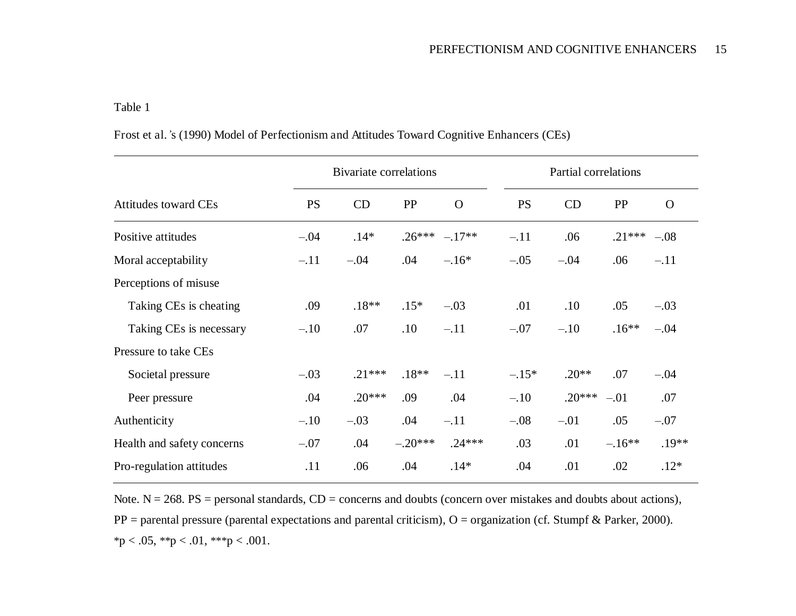# Table 1

| Frost et al. 's (1990) Model of Perfectionism and Attitudes Toward Cognitive Enhancers (CEs) |  |  |  |  |
|----------------------------------------------------------------------------------------------|--|--|--|--|
|----------------------------------------------------------------------------------------------|--|--|--|--|

|                             | <b>Bivariate correlations</b> |          |           | Partial correlations |           |          |          |                |
|-----------------------------|-------------------------------|----------|-----------|----------------------|-----------|----------|----------|----------------|
| <b>Attitudes toward CEs</b> | <b>PS</b>                     | CD       | PP        | $\Omega$             | <b>PS</b> | CD       | PP       | $\overline{O}$ |
| Positive attitudes          | $-.04$                        | $.14*$   | $.26***$  | $-.17**$             | $-.11$    | .06      | $.21***$ | $-.08$         |
| Moral acceptability         | $-.11$                        | $-.04$   | .04       | $-.16*$              | $-.05$    | $-.04$   | .06      | $-.11$         |
| Perceptions of misuse       |                               |          |           |                      |           |          |          |                |
| Taking CEs is cheating      | .09                           | $.18**$  | $.15*$    | $-.03$               | .01       | .10      | .05      | $-.03$         |
| Taking CEs is necessary     | $-.10$                        | .07      | .10       | $-.11$               | $-.07$    | $-.10$   | $.16**$  | $-.04$         |
| Pressure to take CEs        |                               |          |           |                      |           |          |          |                |
| Societal pressure           | $-.03$                        | $.21***$ | $.18**$   | $-.11$               | $-.15*$   | $.20**$  | .07      | $-.04$         |
| Peer pressure               | .04                           | $.20***$ | .09       | .04                  | $-.10$    | $.20***$ | $-.01$   | .07            |
| Authenticity                | $-.10$                        | $-.03$   | .04       | $-.11$               | $-.08$    | $-.01$   | .05      | $-.07$         |
| Health and safety concerns  | $-.07$                        | .04      | $-.20***$ | $.24***$             | .03       | .01      | $-.16**$ | $.19**$        |
| Pro-regulation attitudes    | .11                           | .06      | .04       | $.14*$               | .04       | .01      | .02      | $.12*$         |

Note.  $N = 268$ . PS = personal standards,  $CD =$  concerns and doubts (concern over mistakes and doubts about actions),  $PP =$  parental pressure (parental expectations and parental criticism), O = organization (cf. Stumpf & Parker, 2000).  $*p < .05, **p < .01, **p < .001.$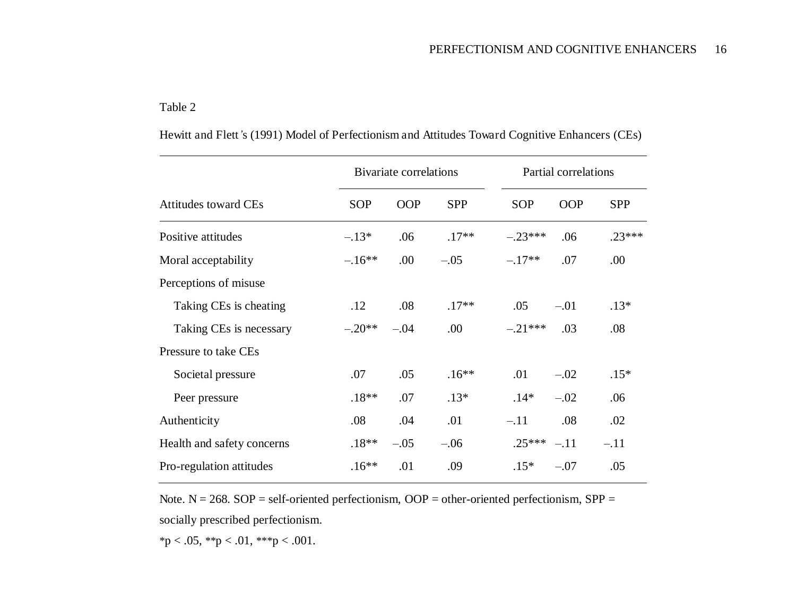# Table 2

|                             | <b>Bivariate correlations</b> |            | Partial correlations |            |            |            |
|-----------------------------|-------------------------------|------------|----------------------|------------|------------|------------|
| <b>Attitudes toward CEs</b> | <b>SOP</b>                    | <b>OOP</b> | <b>SPP</b>           | <b>SOP</b> | <b>OOP</b> | <b>SPP</b> |
| Positive attitudes          | $-.13*$                       | .06        | $.17**$              | $-.23***$  | .06        | $.23***$   |
| Moral acceptability         | $-.16**$                      | .00        | $-.05$               | $-.17**$   | .07        | .00        |
| Perceptions of misuse       |                               |            |                      |            |            |            |
| Taking CEs is cheating      | .12                           | .08        | $.17**$              | .05        | $-.01$     | $.13*$     |
| Taking CEs is necessary     | $-.20**$                      | $-.04$     | .00.                 | $-.21***$  | .03        | .08        |
| Pressure to take CEs        |                               |            |                      |            |            |            |
| Societal pressure           | .07                           | .05        | $.16**$              | .01        | $-.02$     | $.15*$     |
| Peer pressure               | $.18**$                       | .07        | $.13*$               | $.14*$     | $-.02$     | .06        |
| Authenticity                | .08                           | .04        | .01                  | $-.11$     | .08        | .02        |
| Health and safety concerns  | $.18**$                       | $-.05$     | $-.06$               | $.25***$   | $-.11$     | $-.11$     |
| Pro-regulation attitudes    | $.16**$                       | .01        | .09                  | $.15*$     | $-.07$     | .05        |

Hewitt and Flett*'*s (1991) Model of Perfectionism and Attitudes Toward Cognitive Enhancers (CEs)

Note.  $N = 268$ .  $SOP = self-oriented perfectionism$ ,  $OOP = other-oriented perfectionism$ ,  $SPP =$ socially prescribed perfectionism.

\*p < .05, \*\*p < .01, \*\*\*p < .001.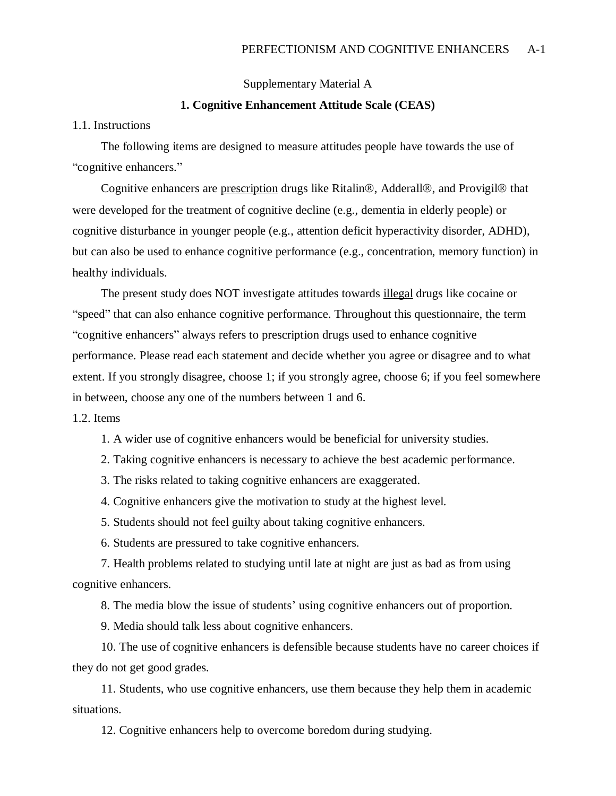Supplementary Material A

#### **1. Cognitive Enhancement Attitude Scale (CEAS)**

#### 1.1. Instructions

The following items are designed to measure attitudes people have towards the use of "cognitive enhancers."

Cognitive enhancers are prescription drugs like Ritalin®, Adderall®, and Provigil® that were developed for the treatment of cognitive decline (e.g., dementia in elderly people) or cognitive disturbance in younger people (e.g., attention deficit hyperactivity disorder, ADHD), but can also be used to enhance cognitive performance (e.g., concentration, memory function) in healthy individuals.

The present study does NOT investigate attitudes towards illegal drugs like cocaine or "speed" that can also enhance cognitive performance. Throughout this questionnaire, the term "cognitive enhancers" always refers to prescription drugs used to enhance cognitive performance. Please read each statement and decide whether you agree or disagree and to what extent. If you strongly disagree, choose 1; if you strongly agree, choose 6; if you feel somewhere in between, choose any one of the numbers between 1 and 6.

1.2. Items

1. A wider use of cognitive enhancers would be beneficial for university studies.

2. Taking cognitive enhancers is necessary to achieve the best academic performance.

3. The risks related to taking cognitive enhancers are exaggerated.

4. Cognitive enhancers give the motivation to study at the highest level.

5. Students should not feel guilty about taking cognitive enhancers.

6. Students are pressured to take cognitive enhancers.

7. Health problems related to studying until late at night are just as bad as from using cognitive enhancers.

8. The media blow the issue of students' using cognitive enhancers out of proportion.

9. Media should talk less about cognitive enhancers.

10. The use of cognitive enhancers is defensible because students have no career choices if they do not get good grades.

11. Students, who use cognitive enhancers, use them because they help them in academic situations.

12. Cognitive enhancers help to overcome boredom during studying.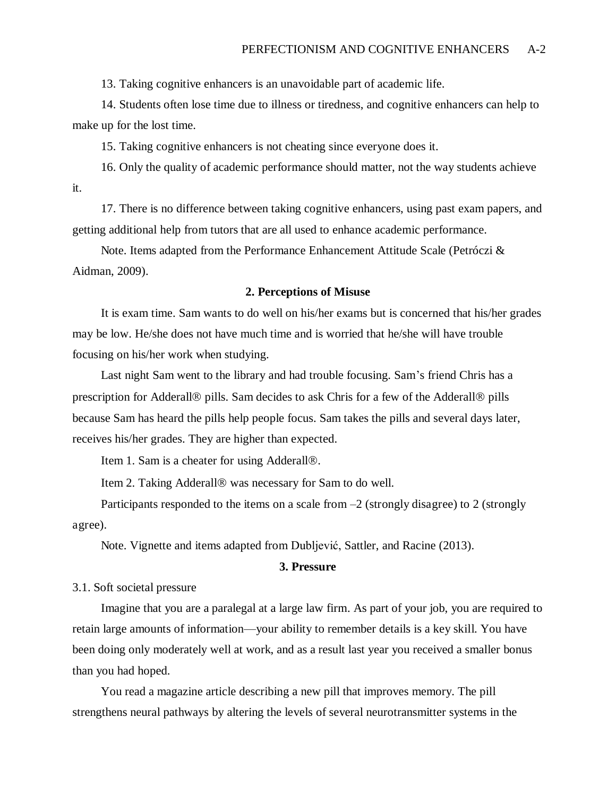13. Taking cognitive enhancers is an unavoidable part of academic life.

14. Students often lose time due to illness or tiredness, and cognitive enhancers can help to make up for the lost time.

15. Taking cognitive enhancers is not cheating since everyone does it.

16. Only the quality of academic performance should matter, not the way students achieve it.

17. There is no difference between taking cognitive enhancers, using past exam papers, and getting additional help from tutors that are all used to enhance academic performance.

Note. Items adapted from the Performance Enhancement Attitude Scale (Petróczi & Aidman, 2009).

#### **2. Perceptions of Misuse**

It is exam time. Sam wants to do well on his/her exams but is concerned that his/her grades may be low. He/she does not have much time and is worried that he/she will have trouble focusing on his/her work when studying.

Last night Sam went to the library and had trouble focusing. Sam's friend Chris has a prescription for Adderall<sup>®</sup> pills. Sam decides to ask Chris for a few of the Adderall<sup>®</sup> pills because Sam has heard the pills help people focus. Sam takes the pills and several days later, receives his/her grades. They are higher than expected.

Item 1. Sam is a cheater for using Adderall<sup>®</sup>.

Item 2. Taking Adderall<sup>®</sup> was necessary for Sam to do well.

Participants responded to the items on a scale from  $-2$  (strongly disagree) to 2 (strongly agree).

Note. Vignette and items adapted from Dubljević, Sattler, and Racine (2013).

#### **3. Pressure**

3.1. Soft societal pressure

Imagine that you are a paralegal at a large law firm. As part of your job, you are required to retain large amounts of information—your ability to remember details is a key skill. You have been doing only moderately well at work, and as a result last year you received a smaller bonus than you had hoped.

You read a magazine article describing a new pill that improves memory. The pill strengthens neural pathways by altering the levels of several neurotransmitter systems in the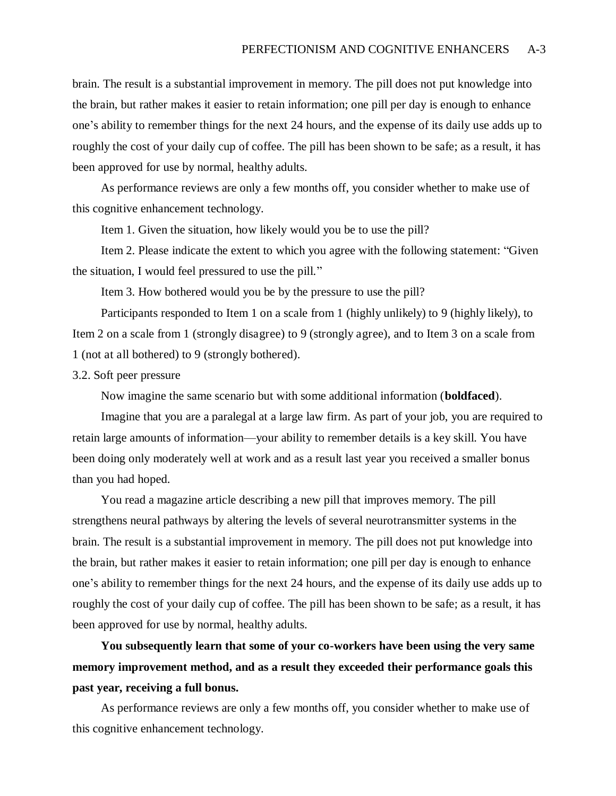brain. The result is a substantial improvement in memory. The pill does not put knowledge into the brain, but rather makes it easier to retain information; one pill per day is enough to enhance one's ability to remember things for the next 24 hours, and the expense of its daily use adds up to roughly the cost of your daily cup of coffee. The pill has been shown to be safe; as a result, it has been approved for use by normal, healthy adults.

As performance reviews are only a few months off, you consider whether to make use of this cognitive enhancement technology.

Item 1. Given the situation, how likely would you be to use the pill?

Item 2. Please indicate the extent to which you agree with the following statement: "Given the situation, I would feel pressured to use the pill."

Item 3. How bothered would you be by the pressure to use the pill?

Participants responded to Item 1 on a scale from 1 (highly unlikely) to 9 (highly likely), to Item 2 on a scale from 1 (strongly disagree) to 9 (strongly agree), and to Item 3 on a scale from 1 (not at all bothered) to 9 (strongly bothered).

3.2. Soft peer pressure

Now imagine the same scenario but with some additional information (**boldfaced**).

Imagine that you are a paralegal at a large law firm. As part of your job, you are required to retain large amounts of information—your ability to remember details is a key skill. You have been doing only moderately well at work and as a result last year you received a smaller bonus than you had hoped.

You read a magazine article describing a new pill that improves memory. The pill strengthens neural pathways by altering the levels of several neurotransmitter systems in the brain. The result is a substantial improvement in memory. The pill does not put knowledge into the brain, but rather makes it easier to retain information; one pill per day is enough to enhance one's ability to remember things for the next 24 hours, and the expense of its daily use adds up to roughly the cost of your daily cup of coffee. The pill has been shown to be safe; as a result, it has been approved for use by normal, healthy adults.

**You subsequently learn that some of your co-workers have been using the very same memory improvement method, and as a result they exceeded their performance goals this past year, receiving a full bonus.** 

As performance reviews are only a few months off, you consider whether to make use of this cognitive enhancement technology.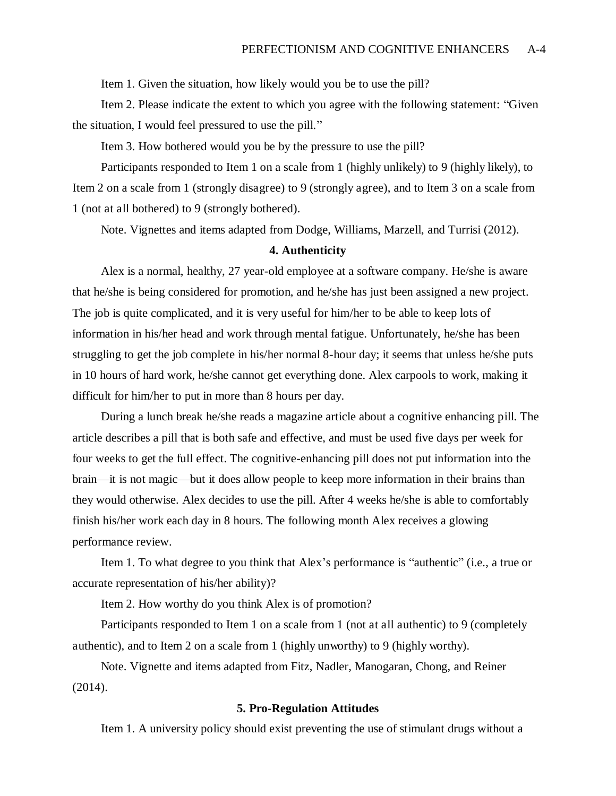Item 1. Given the situation, how likely would you be to use the pill?

Item 2. Please indicate the extent to which you agree with the following statement: "Given the situation, I would feel pressured to use the pill."

Item 3. How bothered would you be by the pressure to use the pill?

Participants responded to Item 1 on a scale from 1 (highly unlikely) to 9 (highly likely), to Item 2 on a scale from 1 (strongly disagree) to 9 (strongly agree), and to Item 3 on a scale from 1 (not at all bothered) to 9 (strongly bothered).

Note. Vignettes and items adapted from Dodge, Williams, Marzell, and Turrisi (2012).

#### **4. Authenticity**

Alex is a normal, healthy, 27 year-old employee at a software company. He/she is aware that he/she is being considered for promotion, and he/she has just been assigned a new project. The job is quite complicated, and it is very useful for him/her to be able to keep lots of information in his/her head and work through mental fatigue. Unfortunately, he/she has been struggling to get the job complete in his/her normal 8-hour day; it seems that unless he/she puts in 10 hours of hard work, he/she cannot get everything done. Alex carpools to work, making it difficult for him/her to put in more than 8 hours per day.

During a lunch break he/she reads a magazine article about a cognitive enhancing pill. The article describes a pill that is both safe and effective, and must be used five days per week for four weeks to get the full effect. The cognitive-enhancing pill does not put information into the brain—it is not magic—but it does allow people to keep more information in their brains than they would otherwise. Alex decides to use the pill. After 4 weeks he/she is able to comfortably finish his/her work each day in 8 hours. The following month Alex receives a glowing performance review.

Item 1. To what degree to you think that Alex's performance is "authentic" (i.e., a true or accurate representation of his/her ability)?

Item 2. How worthy do you think Alex is of promotion?

Participants responded to Item 1 on a scale from 1 (not at all authentic) to 9 (completely authentic), and to Item 2 on a scale from 1 (highly unworthy) to 9 (highly worthy).

Note. Vignette and items adapted from Fitz, Nadler, Manogaran, Chong, and Reiner (2014).

#### **5. Pro-Regulation Attitudes**

Item 1. A university policy should exist preventing the use of stimulant drugs without a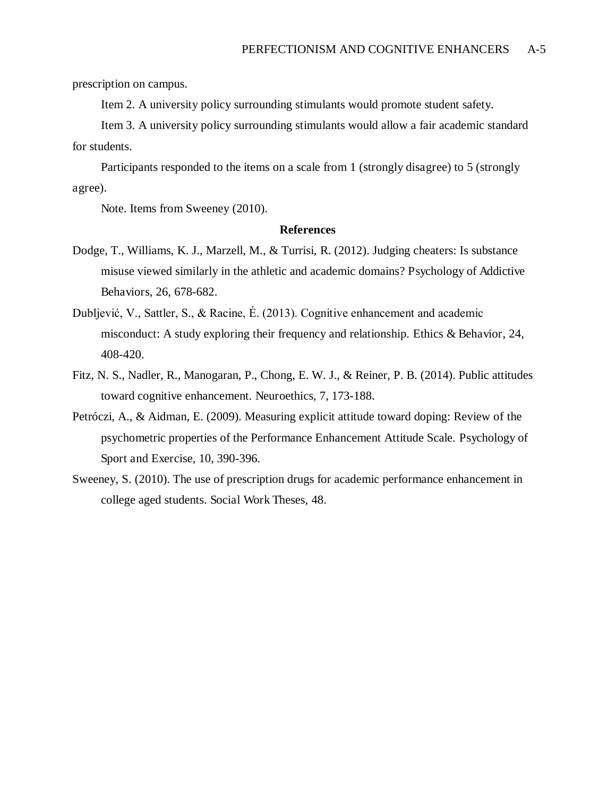prescription on campus.

Item 2. A university policy surrounding stimulants would promote student safety.

Item 3. A university policy surrounding stimulants would allow a fair academic standard for students.

Participants responded to the items on a scale from 1 (strongly disagree) to 5 (strongly agree).

Note. Items from Sweeney (2010).

#### **References**

- Dodge, T., Williams, K. J., Marzell, M., & Turrisi, R. (2012). Judging cheaters: Is substance misuse viewed similarly in the athletic and academic domains? Psychology of Addictive Behaviors, 26, 678-682.
- Dubljević, V., Sattler, S., & Racine, É. (2013). Cognitive enhancement and academic misconduct: A study exploring their frequency and relationship. Ethics & Behavior, 24, 408-420.
- Fitz, N. S., Nadler, R., Manogaran, P., Chong, E. W. J., & Reiner, P. B. (2014). Public attitudes toward cognitive enhancement. Neuroethics, 7, 173-188.
- Petróczi, A., & Aidman, E. (2009). Measuring explicit attitude toward doping: Review of the psychometric properties of the Performance Enhancement Attitude Scale. Psychology of Sport and Exercise, 10, 390-396.
- Sweeney, S. (2010). The use of prescription drugs for academic performance enhancement in college aged students. Social Work Theses, 48.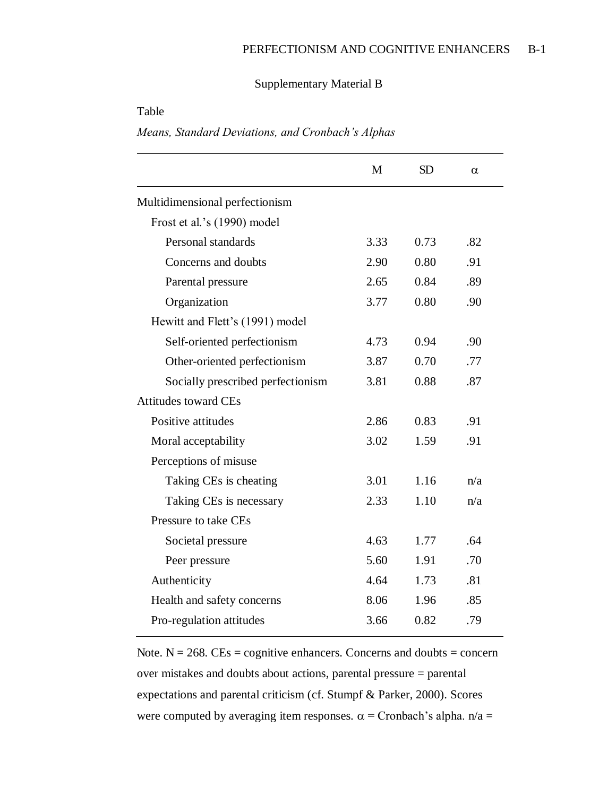## Supplementary Material B

## Table

*Means, Standard Deviations, and Cronbach's Alphas*

|                                   | M    | <b>SD</b> | α   |
|-----------------------------------|------|-----------|-----|
| Multidimensional perfectionism    |      |           |     |
| Frost et al.'s (1990) model       |      |           |     |
| Personal standards                | 3.33 | 0.73      | .82 |
| Concerns and doubts               | 2.90 | 0.80      | .91 |
| Parental pressure                 | 2.65 | 0.84      | .89 |
| Organization                      | 3.77 | 0.80      | .90 |
| Hewitt and Flett's (1991) model   |      |           |     |
| Self-oriented perfectionism       | 4.73 | 0.94      | .90 |
| Other-oriented perfectionism      | 3.87 | 0.70      | .77 |
| Socially prescribed perfectionism | 3.81 | 0.88      | .87 |
| <b>Attitudes toward CEs</b>       |      |           |     |
| Positive attitudes                | 2.86 | 0.83      | .91 |
| Moral acceptability               | 3.02 | 1.59      | .91 |
| Perceptions of misuse             |      |           |     |
| Taking CEs is cheating            | 3.01 | 1.16      | n/a |
| Taking CEs is necessary           | 2.33 | 1.10      | n/a |
| Pressure to take CEs              |      |           |     |
| Societal pressure                 | 4.63 | 1.77      | .64 |
| Peer pressure                     | 5.60 | 1.91      | .70 |
| Authenticity                      | 4.64 | 1.73      | .81 |
| Health and safety concerns        | 8.06 | 1.96      | .85 |
| Pro-regulation attitudes          | 3.66 | 0.82      | .79 |

Note.  $N = 268$ . CEs = cognitive enhancers. Concerns and doubts = concern over mistakes and doubts about actions, parental pressure = parental expectations and parental criticism (cf. Stumpf & Parker, 2000). Scores were computed by averaging item responses.  $\alpha$  = Cronbach's alpha.  $n/a$  =